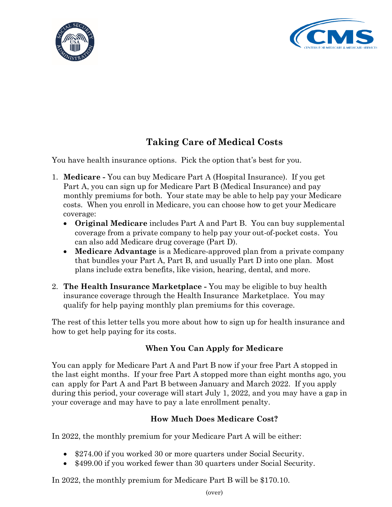



# **Taking Care of Medical Costs**

You have health insurance options. Pick the option that's best for you.

- 1. **Medicare -** You can buy Medicare Part A (Hospital Insurance). If you get Part A, you can sign up for Medicare Part B (Medical Insurance) and pay monthly premiums for both. Your state may be able to help pay your Medicare costs. When you enroll in Medicare, you can choose how to get your Medicare coverage:
	- **Original Medicare** includes Part A and Part B. You can buy supplemental coverage from a private company to help pay your out-of-pocket costs. You can also add Medicare drug coverage (Part D).
	- **Medicare Advantage** is a Medicare-approved plan from a private company that bundles your Part A, Part B, and usually Part D into one plan. Most plans include extra benefits, like vision, hearing, dental, and more.
- 2. **The Health Insurance Marketplace -** You may be eligible to buy health insurance coverage through the Health Insurance Marketplace. You may qualify for help paying monthly plan premiums for this coverage.

The rest of this letter tells you more about how to sign up for health insurance and how to get help paying for its costs.

# **When You Can Apply for Medicare**

You can apply for Medicare Part A and Part B now if your free Part A stopped in the last eight months. If your free Part A stopped more than eight months ago, you can apply for Part A and Part B between January and March 2022. If you apply during this period, your coverage will start July 1, 2022, and you may have a gap in your coverage and may have to pay a late enrollment penalty.

# **How Much Does Medicare Cost?**

In 2022, the monthly premium for your Medicare Part A will be either:

- \$274.00 if you worked 30 or more quarters under Social Security.
- \$499.00 if you worked fewer than 30 quarters under Social Security.

In 2022, the monthly premium for Medicare Part B will be \$170.10.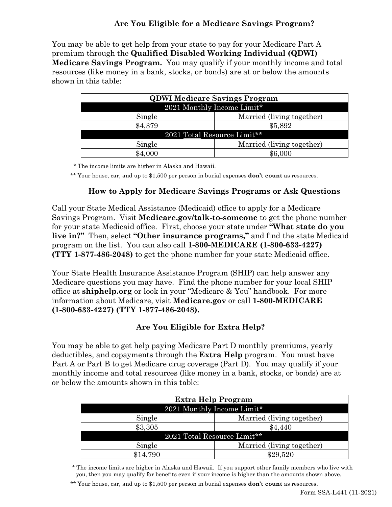### **Are You Eligible for a Medicare Savings Program?**

You may be able to get help from your state to pay for your Medicare Part A premium through the **Qualified Disabled Working Individual (QDWI) Medicare Savings Program.** You may qualify if your monthly income and total resources (like money in a bank, stocks, or bonds) are at or below the amounts shown in this table:

| <b>QDWI Medicare Savings Program</b> |                           |
|--------------------------------------|---------------------------|
| 2021 Monthly Income Limit*           |                           |
| Single                               | Married (living together) |
| \$4,379                              | \$5,892                   |
| 2021 Total Resource Limit**          |                           |
| Single                               | Married (living together) |
| $\$4.000$                            | \$6,000                   |

\* The income limits are higher in Alaska and Hawaii.

\*\* Your house, car, and up to \$1,500 per person in burial expenses **don't count** as resources.

#### **How to Apply for Medicare Savings Programs or Ask Questions**

Call your State Medical Assistance (Medicaid) office to apply for a Medicare Savings Program. Visit **[Medicare.gov/talk-to-someone](https://www.medicare.gov/talk-to-someone)** to get the phone number for your state Medicaid office. First, choose your state under **"What state do you live in?"** Then, select **"Other insurance programs,"** and find the state Medicaid program on the list. You can also call **1-800-MEDICARE (1-800-633-4227) (TTY 1-877-486-2048)** to get the phone number for your state Medicaid office.

Your State Health Insurance Assistance Program (SHIP) can help answer any Medicare questions you may have. Find the phone number for your local SHIP office at **[shiphelp.org](https://www.shiphelp.org/)** or look in your "Medicare & You" handbook. For more information about Medicare, visit **[Medicare.gov](https://www.medicare.gov/)** or call **1-800-MEDICARE (1-800-633-4227) (TTY 1-877-486-2048).** 

# **Are You Eligible for Extra Help?**

You may be able to get help paying Medicare Part D monthly premiums, yearly deductibles, and copayments through the **Extra Help** program. You must have Part A or Part B to get Medicare drug coverage (Part D). You may qualify if your monthly income and total resources (like money in a bank, stocks, or bonds) are at or below the amounts shown in this table:

| Extra Help Program          |                           |
|-----------------------------|---------------------------|
| 2021 Monthly Income Limit*  |                           |
| Single                      | Married (living together) |
| \$3,305                     | \$4,440                   |
| 2021 Total Resource Limit** |                           |
| Single                      | Married (living together) |
| \$14,790                    | \$29,520                  |

\* The income limits are higher in Alaska and Hawaii. If you support other family members who live with you, then you may qualify for benefits even if your income is higher than the amounts shown above.

\*\* Your house, car, and up to \$1,500 per person in burial expenses **don't count** as resources.